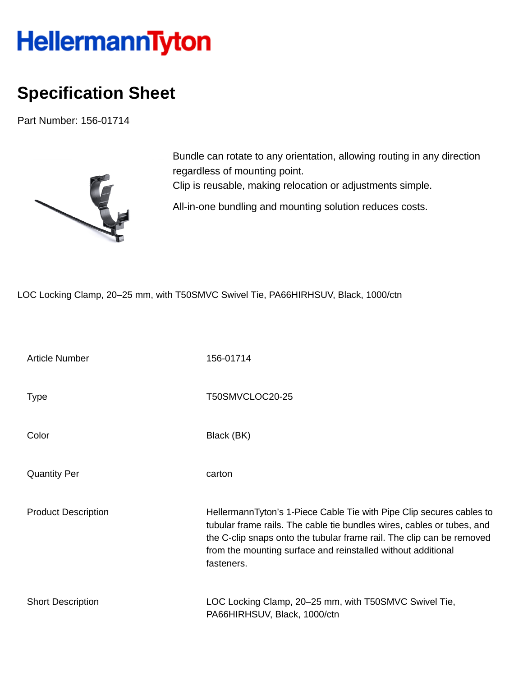## HellermannTyton

## **Specification Sheet**

Part Number: 156-01714



Bundle can rotate to any orientation, allowing routing in any direction regardless of mounting point. Clip is reusable, making relocation or adjustments simple. All-in-one bundling and mounting solution reduces costs.

LOC Locking Clamp, 20–25 mm, with T50SMVC Swivel Tie, PA66HIRHSUV, Black, 1000/ctn

| Article Number             | 156-01714                                                                                                                                                                                                                                                                                             |
|----------------------------|-------------------------------------------------------------------------------------------------------------------------------------------------------------------------------------------------------------------------------------------------------------------------------------------------------|
| Type                       | T50SMVCLOC20-25                                                                                                                                                                                                                                                                                       |
| Color                      | Black (BK)                                                                                                                                                                                                                                                                                            |
| <b>Quantity Per</b>        | carton                                                                                                                                                                                                                                                                                                |
| <b>Product Description</b> | HellermannTyton's 1-Piece Cable Tie with Pipe Clip secures cables to<br>tubular frame rails. The cable tie bundles wires, cables or tubes, and<br>the C-clip snaps onto the tubular frame rail. The clip can be removed<br>from the mounting surface and reinstalled without additional<br>fasteners. |
| <b>Short Description</b>   | LOC Locking Clamp, 20–25 mm, with T50SMVC Swivel Tie,<br>PA66HIRHSUV, Black, 1000/ctn                                                                                                                                                                                                                 |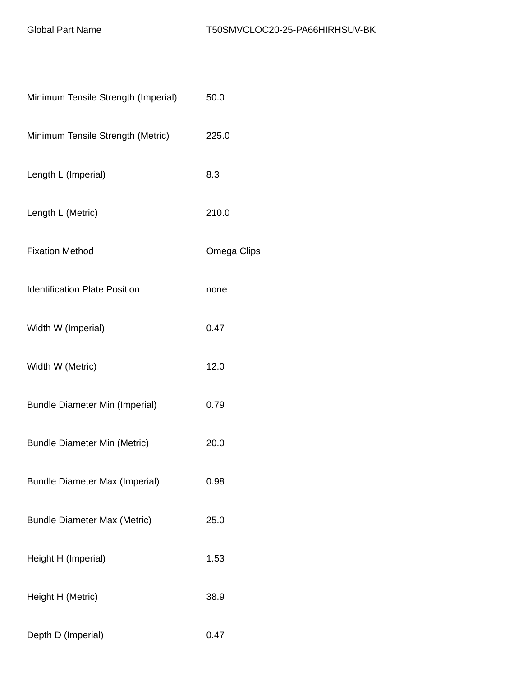| Minimum Tensile Strength (Imperial)   | 50.0        |
|---------------------------------------|-------------|
| Minimum Tensile Strength (Metric)     | 225.0       |
| Length L (Imperial)                   | 8.3         |
| Length L (Metric)                     | 210.0       |
| <b>Fixation Method</b>                | Omega Clips |
| <b>Identification Plate Position</b>  | none        |
| Width W (Imperial)                    | 0.47        |
| Width W (Metric)                      | 12.0        |
| <b>Bundle Diameter Min (Imperial)</b> | 0.79        |
| <b>Bundle Diameter Min (Metric)</b>   | 20.0        |
| <b>Bundle Diameter Max (Imperial)</b> | 0.98        |
| <b>Bundle Diameter Max (Metric)</b>   | 25.0        |
| Height H (Imperial)                   | 1.53        |
| Height H (Metric)                     | 38.9        |
| Depth D (Imperial)                    | 0.47        |